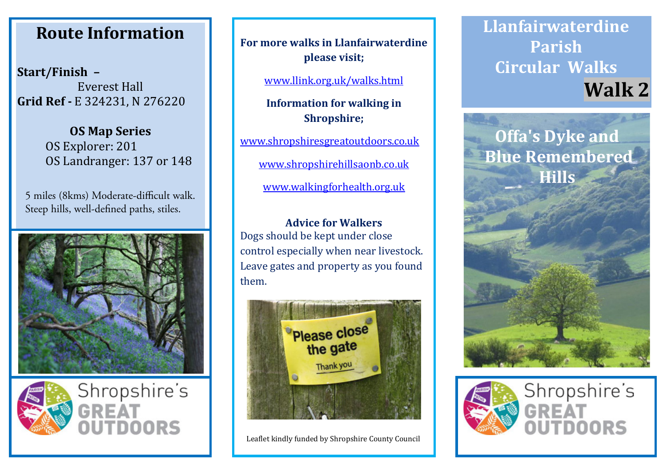## **Route Information Route Information Route Information**

**Start/Finish – Start/Finish – Start/Finish –** Everest Hall Everest Hall Everest Hall **Grid Ref -** E 324231, N 276220 **Grid Ref -** E 324231, N 276220 **Grid Ref -** E 324231, N 276220

> **OS Map Series OS Map Series OS Map Series** OS Explorer: 201 OS Explorer: 201 OS Explorer: 201 OS Landranger: 137 or 148 OS Landranger: 137 or 148 OS Landranger: 137 or 148

5 miles (8kms) Moderate-difficult walk. Steep hills, well-defined paths, stiles.





**For more walks in Llanfairwaterdine For more walks in Llanfairwaterdine For more walks in Llanfairwaterdine please visit; please visit; please visit;**

www.llink.org.uk/walks.html www.llink.org.uk/walks.html www.llink.org.uk/walks.html

**Information for walking in Information for walking in Information for walking in Shropshire; Shropshire; Shropshire;**

www.shropshiresgreatoutdoors.co.uk www.shropshiresgreatoutdoors.co.uk www.shropshiresgreatoutdoors.co.uk

www.shropshirehillsaonb.co.uk www.shropshirehillsaonb.co.uk www.shropshirehillsaonb.co.uk

www.walkingforhealth.org.uk www.walkingforhealth.org.uk www.walkingforhealth.org.uk

**Advice for Walkers Advice for Walkers Advice for Walkers** Dogs should be kept under close Dogs should be kept under close Dogs should be kept under close control especially when near livestock. control especially when near livestock. control especially when near livestock. Leave gates and property as you found Leave gates and property as you found Leave gates and property as you found them. them. them.



Leaflet kindly funded by Shropshire County Council Leaflet kindly funded by Shropshire County Council Leaflet kindly funded by Shropshire County Council

**Llanfairwaterdine Llanfairwaterdine Llanfairwaterdine Parish Parish Parish Circular Walks Circular Walks Circular Walks Walk 2 Walk 2 Walk 2**